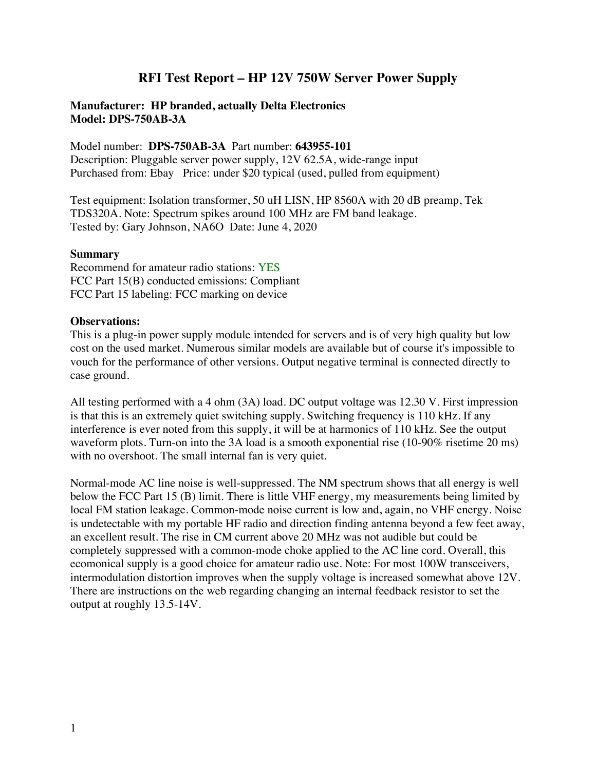# **RFI Test Report – HP 12V 750W Server Power Supply**

### **Manufacturer: HP branded, actually Delta Electronics Model: DPS-750AB-3A**

Model number: **DPS-750AB-3A** Part number: **643955-101** Description: Pluggable server power supply, 12V 62.5A, wide-range input

Purchased from: Ebay Price: under \$20 typical (used, pulled from equipment)

Test equipment: Isolation transformer, 50 uH LISN, HP 8560A with 20 dB preamp, Tek TDS320A. Note: Spectrum spikes around 100 MHz are FM band leakage. Tested by: Gary Johnson, NA6O Date: June 4, 2020

#### **Summary**

Recommend for amateur radio stations: YES FCC Part 15(B) conducted emissions: Compliant FCC Part 15 labeling: FCC marking on device

#### **Observations:**

This is a plug-in power supply module intended for servers and is of very high quality but low cost on the used market. Numerous similar models are available but of course it's impossible to vouch for the performance of other versions. Output negative terminal is connected directly to case ground.

All testing performed with a 4 ohm (3A) load. DC output voltage was 12.30 V. First impression is that this is an extremely quiet switching supply. Switching frequency is 110 kHz. If any interference is ever noted from this supply, it will be at harmonics of 110 kHz. See the output waveform plots. Turn-on into the 3A load is a smooth exponential rise (10-90% risetime 20 ms) with no overshoot. The small internal fan is very quiet.

Normal-mode AC line noise is well-suppressed. The NM spectrum shows that all energy is well below the FCC Part 15 (B) limit. There is little VHF energy, my measurements being limited by local FM station leakage. Common-mode noise current is low and, again, no VHF energy. Noise is undetectable with my portable HF radio and direction finding antenna beyond a few feet away, an excellent result. The rise in CM current above 20 MHz was not audible but could be completely suppressed with a common-mode choke applied to the AC line cord. Overall, this ecomonical supply is a good choice for amateur radio use. Note: For most 100W transceivers, intermodulation distortion improves when the supply voltage is increased somewhat above 12V. There are instructions on the web regarding changing an internal feedback resistor to set the output at roughly 13.5-14V.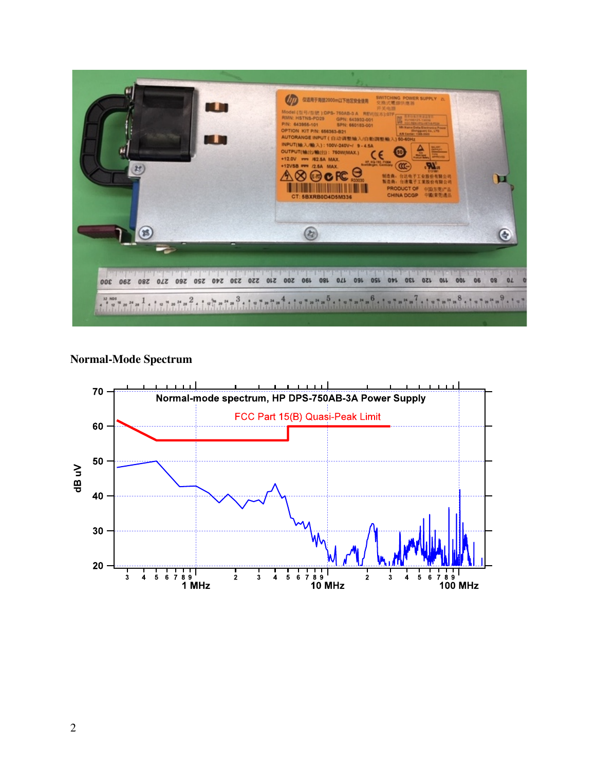

## **Normal-Mode Spectrum**

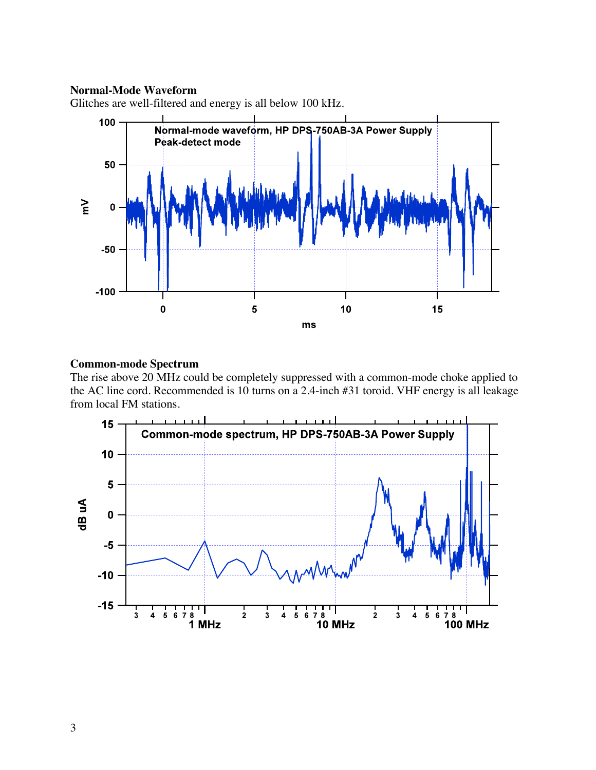#### **Normal-Mode Waveform**

Glitches are well-filtered and energy is all below 100 kHz.



## **Common-mode Spectrum**

The rise above 20 MHz could be completely suppressed with a common-mode choke applied to the AC line cord. Recommended is 10 turns on a 2.4-inch #31 toroid. VHF energy is all leakage from local FM stations.